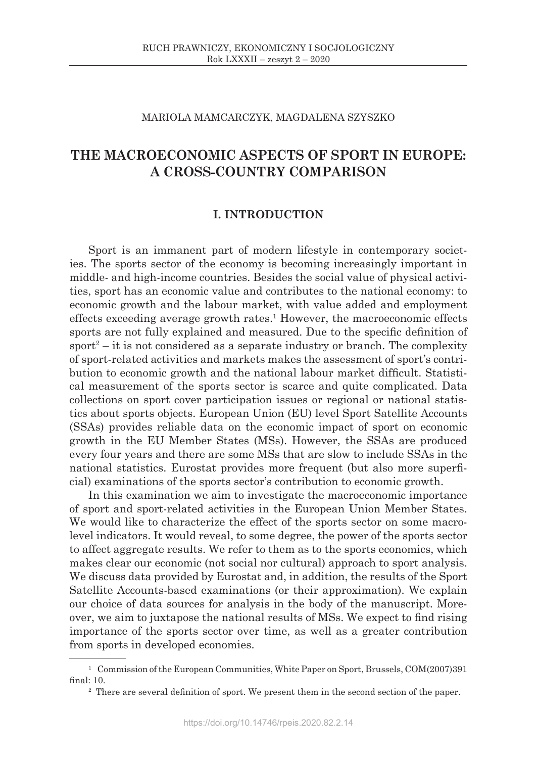### MARIOLA MAMCARCZYK, MAGDALENA SZYSZKO

# **THE MACROECONOMIC ASPECTS OF SPORT IN EUROPE: A CROSS-COUNTRY COMPARISON**

## **I. INTRODUCTION**

Sport is an immanent part of modern lifestyle in contemporary societies. The sports sector of the economy is becoming increasingly important in middle- and high-income countries. Besides the social value of physical activities, sport has an economic value and contributes to the national economy: to economic growth and the labour market, with value added and employment effects exceeding average growth rates.1 However, the macroeconomic effects sports are not fully explained and measured. Due to the specific definition of sport<sup>2</sup> – it is not considered as a separate industry or branch. The complexity of sport-related activities and markets makes the assessment of sport's contribution to economic growth and the national labour market difficult. Statistical measurement of the sports sector is scarce and quite complicated. Data collections on sport cover participation issues or regional or national statistics about sports objects. European Union (EU) level Sport Satellite Accounts (SSAs) provides reliable data on the economic impact of sport on economic growth in the EU Member States (MSs). However, the SSAs are produced every four years and there are some MSs that are slow to include SSAs in the national statistics. Eurostat provides more frequent (but also more superficial) examinations of the sports sector's contribution to economic growth.

In this examination we aim to investigate the macroeconomic importance of sport and sport-related activities in the European Union Member States. We would like to characterize the effect of the sports sector on some macrolevel indicators. It would reveal, to some degree, the power of the sports sector to affect aggregate results. We refer to them as to the sports economics, which makes clear our economic (not social nor cultural) approach to sport analysis. We discuss data provided by Eurostat and, in addition, the results of the Sport Satellite Accounts-based examinations (or their approximation). We explain our choice of data sources for analysis in the body of the manuscript. Moreover, we aim to juxtapose the national results of MSs. We expect to find rising importance of the sports sector over time, as well as a greater contribution from sports in developed economies.

<sup>&</sup>lt;sup>1</sup> Commission of the European Communities, White Paper on Sport, Brussels, COM(2007)391 final: 10.

<sup>&</sup>lt;sup>2</sup> There are several definition of sport. We present them in the second section of the paper.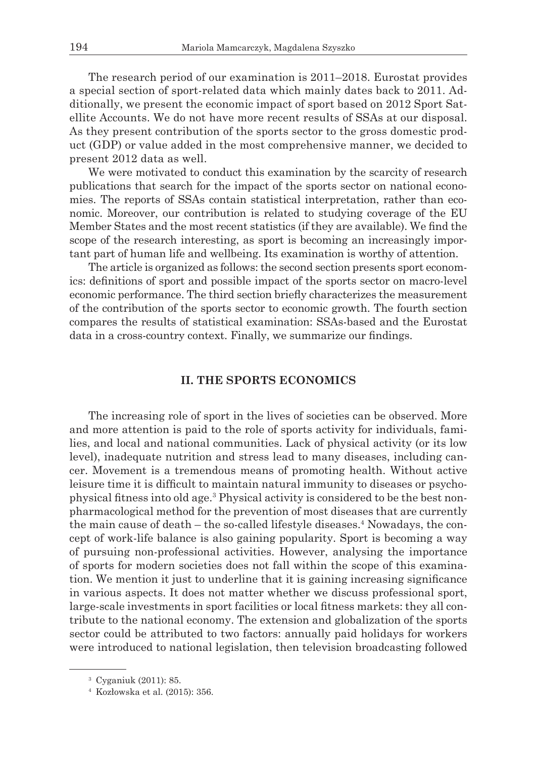The research period of our examination is 2011–2018. Eurostat provides a special section of sport-related data which mainly dates back to 2011. Additionally, we present the economic impact of sport based on 2012 Sport Satellite Accounts. We do not have more recent results of SSAs at our disposal. As they present contribution of the sports sector to the gross domestic product (GDP) or value added in the most comprehensive manner, we decided to present 2012 data as well.

We were motivated to conduct this examination by the scarcity of research publications that search for the impact of the sports sector on national economies. The reports of SSAs contain statistical interpretation, rather than economic. Moreover, our contribution is related to studying coverage of the EU Member States and the most recent statistics (if they are available). We find the scope of the research interesting, as sport is becoming an increasingly important part of human life and wellbeing. Its examination is worthy of attention.

The article is organized as follows: the second section presents sport economics: definitions of sport and possible impact of the sports sector on macro-level economic performance. The third section briefly characterizes the measurement of the contribution of the sports sector to economic growth. The fourth section compares the results of statistical examination: SSAs-based and the Eurostat data in a cross-country context. Finally, we summarize our findings.

### **II. THE SPORTS ECONOMICS**

The increasing role of sport in the lives of societies can be observed. More and more attention is paid to the role of sports activity for individuals, families, and local and national communities. Lack of physical activity (or its low level), inadequate nutrition and stress lead to many diseases, including cancer. Movement is a tremendous means of promoting health. Without active leisure time it is difficult to maintain natural immunity to diseases or psychophysical fitness into old age.<sup>3</sup> Physical activity is considered to be the best nonpharmacological method for the prevention of most diseases that are currently the main cause of death – the so-called lifestyle diseases.<sup>4</sup> Nowadays, the concept of work-life balance is also gaining popularity. Sport is becoming a way of pursuing non-professional activities. However, analysing the importance of sports for modern societies does not fall within the scope of this examination. We mention it just to underline that it is gaining increasing significance in various aspects. It does not matter whether we discuss professional sport, large-scale investments in sport facilities or local fitness markets: they all contribute to the national economy. The extension and globalization of the sports sector could be attributed to two factors: annually paid holidays for workers were introduced to national legislation, then television broadcasting followed

<sup>3</sup> Cyganiuk (2011): 85.

<sup>4</sup> Kozłowska et al. (2015): 356.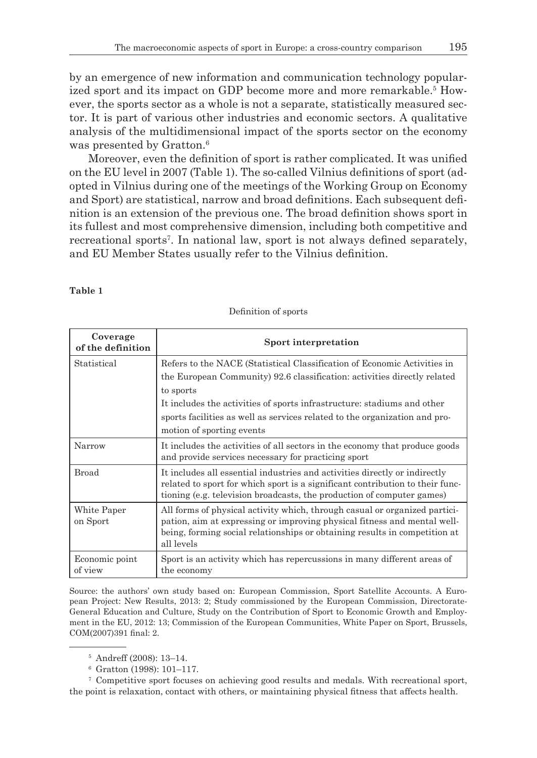by an emergence of new information and communication technology popularized sport and its impact on GDP become more and more remarkable.<sup>5</sup> However, the sports sector as a whole is not a separate, statistically measured sector. It is part of various other industries and economic sectors. A qualitative analysis of the multidimensional impact of the sports sector on the economy was presented by Gratton.<sup>6</sup>

Moreover, even the definition of sport is rather complicated. It was unified on the EU level in 2007 (Table 1). The so-called Vilnius definitions of sport (adopted in Vilnius during one of the meetings of the Working Group on Economy and Sport) are statistical, narrow and broad definitions. Each subsequent definition is an extension of the previous one. The broad definition shows sport in its fullest and most comprehensive dimension, including both competitive and recreational sports<sup>7</sup>. In national law, sport is not always defined separately, and EU Member States usually refer to the Vilnius definition.

#### **Table 1**

| Coverage<br>of the definition | Sport interpretation                                                                                                                                                                                                                                                                                                                                    |
|-------------------------------|---------------------------------------------------------------------------------------------------------------------------------------------------------------------------------------------------------------------------------------------------------------------------------------------------------------------------------------------------------|
| Statistical                   | Refers to the NACE (Statistical Classification of Economic Activities in<br>the European Community) 92.6 classification: activities directly related<br>to sports<br>It includes the activities of sports infrastructure: stadiums and other<br>sports facilities as well as services related to the organization and pro-<br>motion of sporting events |
| Narrow                        | It includes the activities of all sectors in the economy that produce goods<br>and provide services necessary for practicing sport                                                                                                                                                                                                                      |
| Broad                         | It includes all essential industries and activities directly or indirectly<br>related to sport for which sport is a significant contribution to their func-<br>tioning (e.g. television broadcasts, the production of computer games)                                                                                                                   |
| White Paper<br>on Sport       | All forms of physical activity which, through casual or organized partici-<br>pation, aim at expressing or improving physical fitness and mental well-<br>being, forming social relationships or obtaining results in competition at<br>all levels                                                                                                      |
| Economic point<br>of view     | Sport is an activity which has repercussions in many different areas of<br>the economy                                                                                                                                                                                                                                                                  |

Definition of sports

Source: the authors' own study based on: European Commission, Sport Satellite Accounts. A European Project: New Results, 2013: 2; Study commissioned by the European Commission, Directorate-General Education and Culture, Study on the Contribution of Sport to Economic Growth and Employment in the EU, 2012: 13; Commission of the European Communities, White Paper on Sport, Brussels, COM(2007)391 final: 2.

<sup>7</sup> Competitive sport focuses on achieving good results and medals. With recreational sport, the point is relaxation, contact with others, or maintaining physical fitness that affects health.

<sup>5</sup> Andreff (2008): 13–14.

<sup>6</sup> Gratton (1998): 101–117.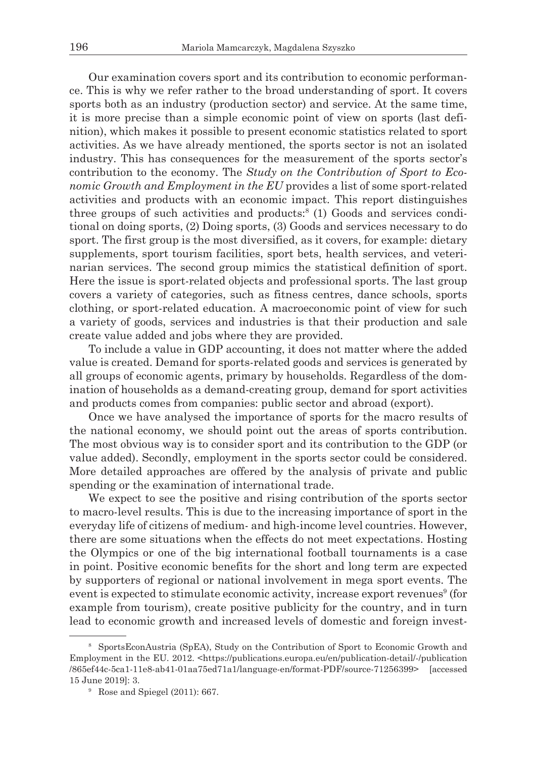Our examination covers sport and its contribution to economic performance. This is why we refer rather to the broad understanding of sport. It covers sports both as an industry (production sector) and service. At the same time, it is more precise than a simple economic point of view on sports (last definition), which makes it possible to present economic statistics related to sport activities. As we have already mentioned, the sports sector is not an isolated industry. This has consequences for the measurement of the sports sector's contribution to the economy. The *Study on the Contribution of Sport to Economic Growth and Employment in the EU* provides a list of some sport-related activities and products with an economic impact. This report distinguishes three groups of such activities and products:<sup>8</sup> (1) Goods and services conditional on doing sports, (2) Doing sports, (3) Goods and services necessary to do sport. The first group is the most diversified, as it covers, for example: dietary supplements, sport tourism facilities, sport bets, health services, and veterinarian services. The second group mimics the statistical definition of sport. Here the issue is sport-related objects and professional sports. The last group covers a variety of categories, such as fitness centres, dance schools, sports clothing, or sport-related education. A macroeconomic point of view for such a variety of goods, services and industries is that their production and sale create value added and jobs where they are provided.

To include a value in GDP accounting, it does not matter where the added value is created. Demand for sports-related goods and services is generated by all groups of economic agents, primary by households. Regardless of the domination of households as a demand-creating group, demand for sport activities and products comes from companies: public sector and abroad (export).

Once we have analysed the importance of sports for the macro results of the national economy, we should point out the areas of sports contribution. The most obvious way is to consider sport and its contribution to the GDP (or value added). Secondly, employment in the sports sector could be considered. More detailed approaches are offered by the analysis of private and public spending or the examination of international trade.

We expect to see the positive and rising contribution of the sports sector to macro-level results. This is due to the increasing importance of sport in the everyday life of citizens of medium- and high-income level countries. However, there are some situations when the effects do not meet expectations. Hosting the Olympics or one of the big international football tournaments is a case in point. Positive economic benefits for the short and long term are expected by supporters of regional or national involvement in mega sport events. The event is expected to stimulate economic activity, increase export revenues<sup>9</sup> (for example from tourism), create positive publicity for the country, and in turn lead to economic growth and increased levels of domestic and foreign invest-

<sup>8</sup> SportsEconAustria (SpEA), Study on the Contribution of Sport to Economic Growth and Employment in the EU. 2012. <https://publications.europa.eu/en/publication-detail/-/publication /865ef44c-5ca1-11e8-ab41-01aa75ed71a1/language-en/format-PDF/source-71256399> [accessed 15 June 2019]: 3.

<sup>9</sup> Rose and Spiegel (2011): 667.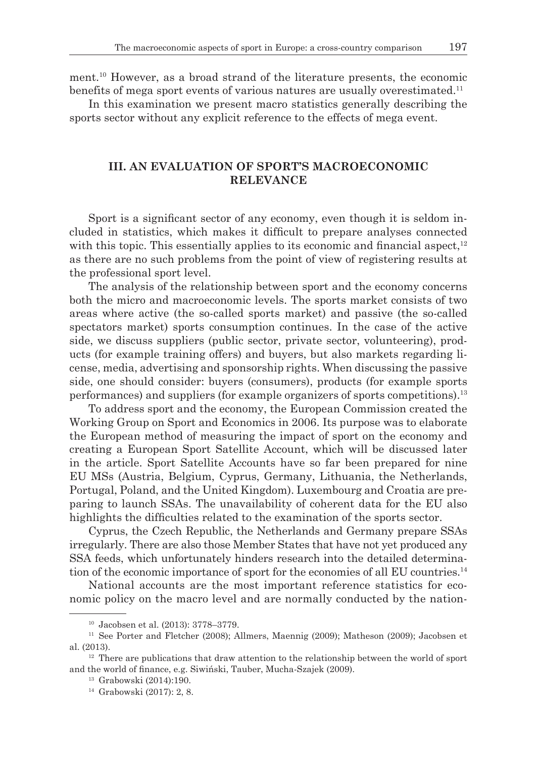ment.10 However, as a broad strand of the literature presents, the economic benefits of mega sport events of various natures are usually overestimated.<sup>11</sup>

In this examination we present macro statistics generally describing the sports sector without any explicit reference to the effects of mega event.

# **III. AN EVALUATION OF SPORT'S MACROECONOMIC RELEVANCE**

Sport is a significant sector of any economy, even though it is seldom included in statistics, which makes it difficult to prepare analyses connected with this topic. This essentially applies to its economic and financial aspect, $12$ as there are no such problems from the point of view of registering results at the professional sport level.

The analysis of the relationship between sport and the economy concerns both the micro and macroeconomic levels. The sports market consists of two areas where active (the so-called sports market) and passive (the so-called spectators market) sports consumption continues. In the case of the active side, we discuss suppliers (public sector, private sector, volunteering), products (for example training offers) and buyers, but also markets regarding license, media, advertising and sponsorship rights. When discussing the passive side, one should consider: buyers (consumers), products (for example sports performances) and suppliers (for example organizers of sports competitions).13

To address sport and the economy, the European Commission created the Working Group on Sport and Economics in 2006. Its purpose was to elaborate the European method of measuring the impact of sport on the economy and creating a European Sport Satellite Account, which will be discussed later in the article. Sport Satellite Accounts have so far been prepared for nine EU MSs (Austria, Belgium, Cyprus, Germany, Lithuania, the Netherlands, Portugal, Poland, and the United Kingdom). Luxembourg and Croatia are preparing to launch SSAs. The unavailability of coherent data for the EU also highlights the difficulties related to the examination of the sports sector.

Cyprus, the Czech Republic, the Netherlands and Germany prepare SSAs irregularly. There are also those Member States that have not yet produced any SSA feeds, which unfortunately hinders research into the detailed determination of the economic importance of sport for the economies of all EU countries.14

National accounts are the most important reference statistics for economic policy on the macro level and are normally conducted by the nation-

<sup>&</sup>lt;sup>10</sup> Jacobsen et al. (2013): 3778–3779.<br><sup>11</sup> See Porter and Fletcher (2008); Allmers, Maennig (2009); Matheson (2009); Jacobsen et al. (2013).

 $12$  There are publications that draw attention to the relationship between the world of sport and the world of finance, e.g. Siwiński, Tauber, Mucha-Szajek (2009).

<sup>13</sup> Grabowski (2014):190.

<sup>14</sup> Grabowski (2017): 2, 8.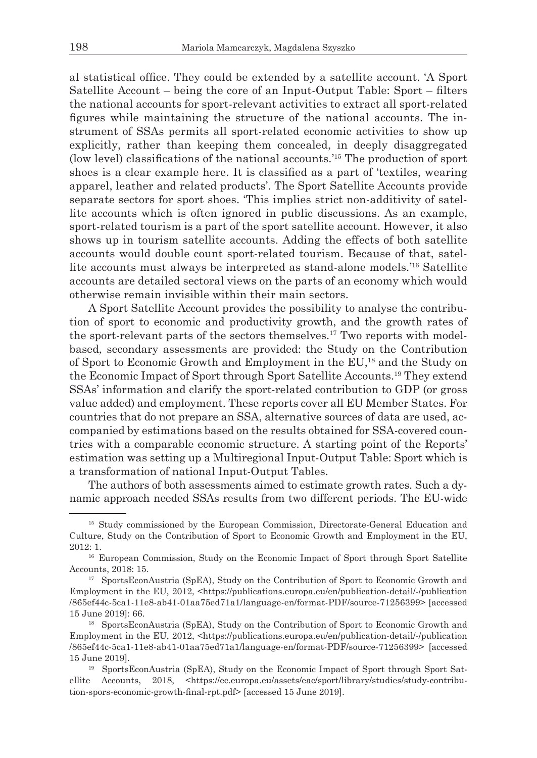al statistical office. They could be extended by a satellite account. 'A Sport Satellite Account – being the core of an Input-Output Table: Sport – filters the national accounts for sport-relevant activities to extract all sport-related figures while maintaining the structure of the national accounts. The instrument of SSAs permits all sport-related economic activities to show up explicitly, rather than keeping them concealed, in deeply disaggregated (low level) classifications of the national accounts.'15 The production of sport shoes is a clear example here. It is classified as a part of 'textiles, wearing apparel, leather and related products'. The Sport Satellite Accounts provide separate sectors for sport shoes. 'This implies strict non-additivity of satellite accounts which is often ignored in public discussions. As an example, sport-related tourism is a part of the sport satellite account. However, it also shows up in tourism satellite accounts. Adding the effects of both satellite accounts would double count sport-related tourism. Because of that, satellite accounts must always be interpreted as stand-alone models.'<sup>16</sup> Satellite accounts are detailed sectoral views on the parts of an economy which would otherwise remain invisible within their main sectors.

A Sport Satellite Account provides the possibility to analyse the contribution of sport to economic and productivity growth, and the growth rates of the sport-relevant parts of the sectors themselves.<sup>17</sup> Two reports with modelbased, secondary assessments are provided: the Study on the Contribution of Sport to Economic Growth and Employment in the EU,18 and the Study on the Economic Impact of Sport through Sport Satellite Accounts.19 They extend SSAs' information and clarify the sport-related contribution to GDP (or gross value added) and employment. These reports cover all EU Member States. For countries that do not prepare an SSA, alternative sources of data are used, accompanied by estimations based on the results obtained for SSA-covered countries with a comparable economic structure. A starting point of the Reports' estimation was setting up a Multiregional Input-Output Table: Sport which is a transformation of national Input-Output Tables.

The authors of both assessments aimed to estimate growth rates. Such a dynamic approach needed SSAs results from two different periods. The EU-wide

<sup>&</sup>lt;sup>15</sup> Study commissioned by the European Commission, Directorate-General Education and Culture, Study on the Contribution of Sport to Economic Growth and Employment in the EU, 2012: 1.

<sup>&</sup>lt;sup>16</sup> European Commission, Study on the Economic Impact of Sport through Sport Satellite Accounts, 2018: 15.<br><sup>17</sup> SportsEconAustria (SpEA), Study on the Contribution of Sport to Economic Growth and

Employment in the EU, 2012, <https://publications.europa.eu/en/publication-detail/-/publication /865ef44c-5ca1-11e8-ab41-01aa75ed71a1/language-en/format-PDF/source-71256399> [accessed 15 June 2019]: 66.

<sup>&</sup>lt;sup>18</sup> SportsEconAustria (SpEA), Study on the Contribution of Sport to Economic Growth and Employment in the EU, 2012, <https://publications.europa.eu/en/publication-detail/-/publication /865ef44c-5ca1-11e8-ab41-01aa75ed71a1/language-en/format-PDF/source-71256399> [accessed 15 June 2019].

<sup>19</sup> SportsEconAustria (SpEA), Study on the Economic Impact of Sport through Sport Satellite Accounts, 2018, <https://ec.europa.eu/assets/eac/sport/library/studies/study-contribution-spors-economic-growth-final-rpt.pdf> [accessed 15 June 2019].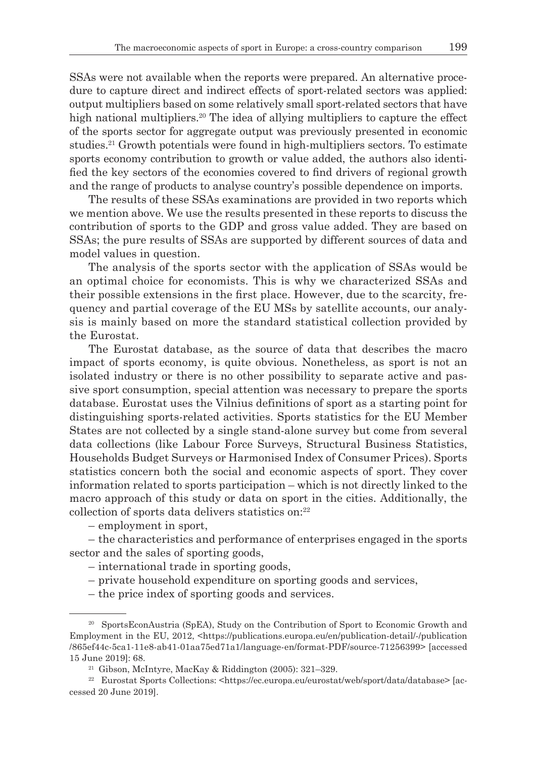SSAs were not available when the reports were prepared. An alternative procedure to capture direct and indirect effects of sport-related sectors was applied: output multipliers based on some relatively small sport-related sectors that have high national multipliers.<sup>20</sup> The idea of allying multipliers to capture the effect of the sports sector for aggregate output was previously presented in economic studies.21 Growth potentials were found in high-multipliers sectors. To estimate sports economy contribution to growth or value added, the authors also identified the key sectors of the economies covered to find drivers of regional growth and the range of products to analyse country's possible dependence on imports.

The results of these SSAs examinations are provided in two reports which we mention above. We use the results presented in these reports to discuss the contribution of sports to the GDP and gross value added. They are based on SSAs; the pure results of SSAs are supported by different sources of data and model values in question.

The analysis of the sports sector with the application of SSAs would be an optimal choice for economists. This is why we characterized SSAs and their possible extensions in the first place. However, due to the scarcity, frequency and partial coverage of the EU MSs by satellite accounts, our analysis is mainly based on more the standard statistical collection provided by the Eurostat.

The Eurostat database, as the source of data that describes the macro impact of sports economy, is quite obvious. Nonetheless, as sport is not an isolated industry or there is no other possibility to separate active and passive sport consumption, special attention was necessary to prepare the sports database. Eurostat uses the Vilnius definitions of sport as a starting point for distinguishing sports-related activities. Sports statistics for the EU Member States are not collected by a single stand-alone survey but come from several data collections (like Labour Force Surveys, Structural Business Statistics, Households Budget Surveys or Harmonised Index of Consumer Prices). Sports statistics concern both the social and economic aspects of sport. They cover information related to sports participation – which is not directly linked to the macro approach of this study or data on sport in the cities. Additionally, the collection of sports data delivers statistics on:22

– employment in sport,

– the characteristics and performance of enterprises engaged in the sports sector and the sales of sporting goods,

- international trade in sporting goods,
- private household expenditure on sporting goods and services,
- the price index of sporting goods and services.

<sup>&</sup>lt;sup>20</sup> SportsEconAustria (SpEA), Study on the Contribution of Sport to Economic Growth and Employment in the EU, 2012, <https://publications.europa.eu/en/publication-detail/-/publication /865ef44c-5ca1-11e8-ab41-01aa75ed71a1/language-en/format-PDF/source-71256399> [accessed 15 June 2019]: 68.

 $21$  Gibson, McIntyre, MacKay & Riddington (2005): 321-329.

<sup>&</sup>lt;sup>22</sup> Eurostat Sports Collections: <https://ec.europa.eu/eurostat/web/sport/data/database> [accessed 20 June 2019].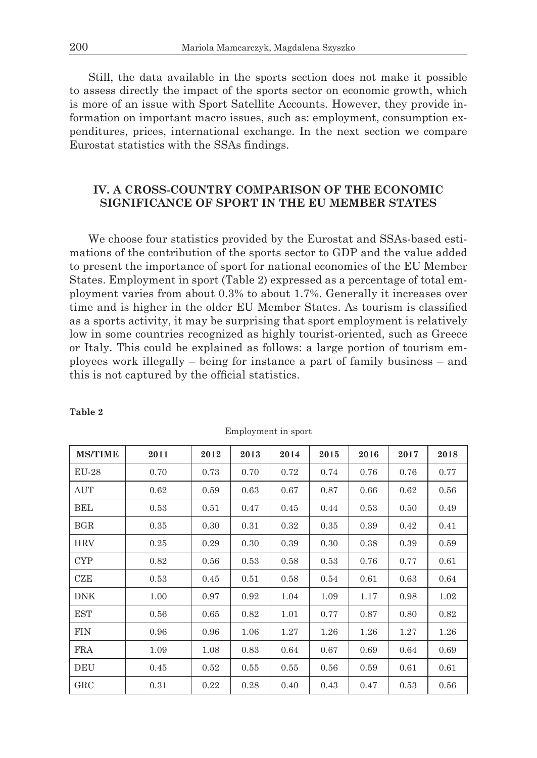Still, the data available in the sports section does not make it possible to assess directly the impact of the sports sector on economic growth, which is more of an issue with Sport Satellite Accounts. However, they provide information on important macro issues, such as: employment, consumption expenditures, prices, international exchange. In the next section we compare Eurostat statistics with the SSAs findings.

# **IV. A CROSS-COUNTRY COMPARISON OF THE ECONOMIC SIGNIFICANCE OF SPORT IN THE EU MEMBER STATES**

We choose four statistics provided by the Eurostat and SSAs-based estimations of the contribution of the sports sector to GDP and the value added to present the importance of sport for national economies of the EU Member States. Employment in sport (Table 2) expressed as a percentage of total employment varies from about 0.3% to about 1.7%. Generally it increases over time and is higher in the older EU Member States. As tourism is classified as a sports activity, it may be surprising that sport employment is relatively low in some countries recognized as highly tourist-oriented, such as Greece or Italy. This could be explained as follows: a large portion of tourism employees work illegally – being for instance a part of family business – and this is not captured by the official statistics.

| <b>MS/TIME</b> | 2011 | 2012 | 2013 | 2014 | 2015 | 2016 | 2017 | 2018 |
|----------------|------|------|------|------|------|------|------|------|
| EU-28          | 0.70 | 0.73 | 0.70 | 0.72 | 0.74 | 0.76 | 0.76 | 0.77 |
| AUT            | 0.62 | 0.59 | 0.63 | 0.67 | 0.87 | 0.66 | 0.62 | 0.56 |
| BEL            | 0.53 | 0.51 | 0.47 | 0.45 | 0.44 | 0.53 | 0.50 | 0.49 |
| BGR            | 0.35 | 0.30 | 0.31 | 0.32 | 0.35 | 0.39 | 0.42 | 0.41 |
| <b>HRV</b>     | 0.25 | 0.29 | 0.30 | 0.39 | 0.30 | 0.38 | 0.39 | 0.59 |
| CYP            | 0.82 | 0.56 | 0.53 | 0.58 | 0.53 | 0.76 | 0.77 | 0.61 |
| CZE            | 0.53 | 0.45 | 0.51 | 0.58 | 0.54 | 0.61 | 0.63 | 0.64 |
| <b>DNK</b>     | 1.00 | 0.97 | 0.92 | 1.04 | 1.09 | 1.17 | 0.98 | 1.02 |
| EST            | 0.56 | 0.65 | 0.82 | 1.01 | 0.77 | 0.87 | 0.80 | 0.82 |
| <b>FIN</b>     | 0.96 | 0.96 | 1.06 | 1.27 | 1.26 | 1.26 | 1.27 | 1.26 |
| <b>FRA</b>     | 1.09 | 1.08 | 0.83 | 0.64 | 0.67 | 0.69 | 0.64 | 0.69 |
| DEU            | 0.45 | 0.52 | 0.55 | 0.55 | 0.56 | 0.59 | 0.61 | 0.61 |
| $_{\rm GRC}$   | 0.31 | 0.22 | 0.28 | 0.40 | 0.43 | 0.47 | 0.53 | 0.56 |

**Table 2**

Employment in sport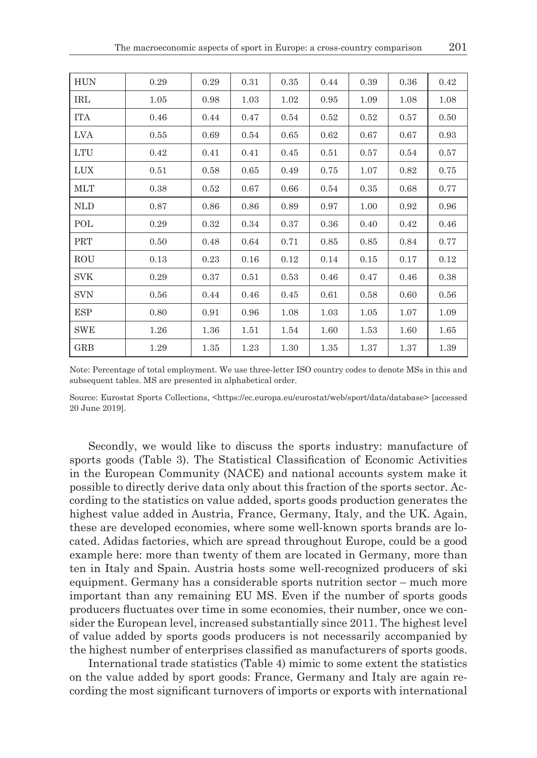| <b>HUN</b> | 0.29 | 0.29 | 0.31 | 0.35 | 0.44 | 0.39 | 0.36 | 0.42 |
|------------|------|------|------|------|------|------|------|------|
| IRL        | 1.05 | 0.98 | 1.03 | 1.02 | 0.95 | 1.09 | 1.08 | 1.08 |
| <b>ITA</b> | 0.46 | 0.44 | 0.47 | 0.54 | 0.52 | 0.52 | 0.57 | 0.50 |
| LVA        | 0.55 | 0.69 | 0.54 | 0.65 | 0.62 | 0.67 | 0.67 | 0.93 |
| <b>LTU</b> | 0.42 | 0.41 | 0.41 | 0.45 | 0.51 | 0.57 | 0.54 | 0.57 |
| <b>LUX</b> | 0.51 | 0.58 | 0.65 | 0.49 | 0.75 | 1.07 | 0.82 | 0.75 |
| MLT        | 0.38 | 0.52 | 0.67 | 0.66 | 0.54 | 0.35 | 0.68 | 0.77 |
| NLD        | 0.87 | 0.86 | 0.86 | 0.89 | 0.97 | 1.00 | 0.92 | 0.96 |
| POL        | 0.29 | 0.32 | 0.34 | 0.37 | 0.36 | 0.40 | 0.42 | 0.46 |
| PRT        | 0.50 | 0.48 | 0.64 | 0.71 | 0.85 | 0.85 | 0.84 | 0.77 |
| ROU        | 0.13 | 0.23 | 0.16 | 0.12 | 0.14 | 0.15 | 0.17 | 0.12 |
| <b>SVK</b> | 0.29 | 0.37 | 0.51 | 0.53 | 0.46 | 0.47 | 0.46 | 0.38 |
| <b>SVN</b> | 0.56 | 0.44 | 0.46 | 0.45 | 0.61 | 0.58 | 0.60 | 0.56 |
| ESP        | 0.80 | 0.91 | 0.96 | 1.08 | 1.03 | 1.05 | 1.07 | 1.09 |
| SWE        | 1.26 | 1.36 | 1.51 | 1.54 | 1.60 | 1.53 | 1.60 | 1.65 |
| GRB        | 1.29 | 1.35 | 1.23 | 1.30 | 1.35 | 1.37 | 1.37 | 1.39 |

Note: Percentage of total employment. We use three-letter ISO country codes to denote MSs in this and subsequent tables. MS are presented in alphabetical order.

Source: Eurostat Sports Collections, <https://ec.europa.eu/eurostat/web/sport/data/database> [accessed 20 June 2019].

Secondly, we would like to discuss the sports industry: manufacture of sports goods (Table 3). The Statistical Classification of Economic Activities in the European Community (NACE) and national accounts system make it possible to directly derive data only about this fraction of the sports sector. According to the statistics on value added, sports goods production generates the highest value added in Austria, France, Germany, Italy, and the UK. Again, these are developed economies, where some well-known sports brands are located. Adidas factories, which are spread throughout Europe, could be a good example here: more than twenty of them are located in Germany, more than ten in Italy and Spain. Austria hosts some well-recognized producers of ski equipment. Germany has a considerable sports nutrition sector – much more important than any remaining EU MS. Even if the number of sports goods producers fluctuates over time in some economies, their number, once we consider the European level, increased substantially since 2011. The highest level of value added by sports goods producers is not necessarily accompanied by the highest number of enterprises classified as manufacturers of sports goods.

International trade statistics (Table 4) mimic to some extent the statistics on the value added by sport goods: France, Germany and Italy are again recording the most significant turnovers of imports or exports with international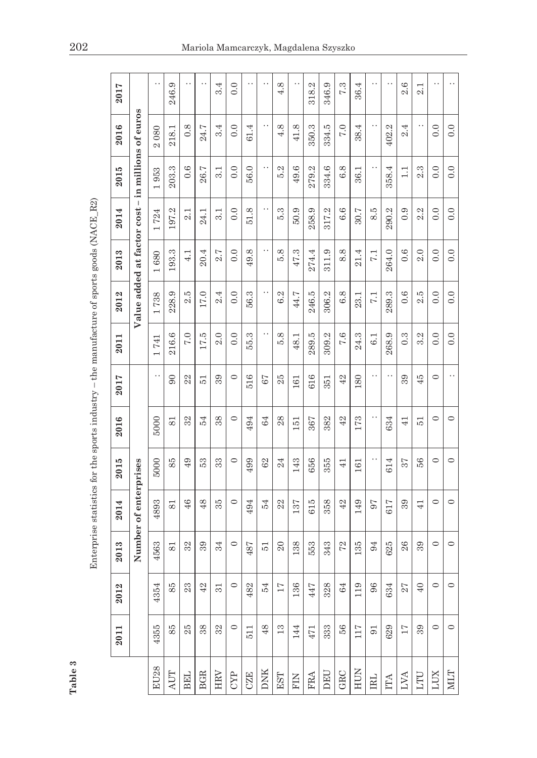| Í              | ı                                                                                      |
|----------------|----------------------------------------------------------------------------------------|
| ļ              | ı                                                                                      |
|                | l                                                                                      |
|                |                                                                                        |
|                | j                                                                                      |
|                | ı                                                                                      |
| $\overline{a}$ |                                                                                        |
|                | ı                                                                                      |
|                |                                                                                        |
|                |                                                                                        |
|                |                                                                                        |
|                |                                                                                        |
|                | έ<br>J                                                                                 |
|                |                                                                                        |
|                | ֪ׅ֪֪֪ׅׅ֪֪ׅ֧֚֚֚֚֚֚֚֚֚֚֚֚֚֚֚֚֚֚֚֚֡֝֡֓֡֡֟֓֡֡֡֡֡֬֝֬֞֝֓֓֞֝֓֞֡֡֓֞֡֓֞֝֬֝֓֞֞֝֓֞֝֬֝֓֞֝֬֝֓֞֞֝֝֬֝ |
|                | í<br>١                                                                                 |
|                | ı                                                                                      |
|                | l                                                                                      |
|                | l                                                                                      |
|                | J                                                                                      |
|                |                                                                                        |
|                | î                                                                                      |
|                | ļ                                                                                      |
|                |                                                                                        |
|                |                                                                                        |
|                | i                                                                                      |
|                |                                                                                        |
|                |                                                                                        |
|                | i<br>S<br>i                                                                            |
|                |                                                                                        |
|                |                                                                                        |
|                | i                                                                                      |
|                |                                                                                        |
|                |                                                                                        |
|                |                                                                                        |
|                | l                                                                                      |
|                |                                                                                        |
|                | ֪֦֪֪֦֚֚֬֕֓֕֬֓֬֓֬֓֓֬֓֓֬֓֬֓֬֝֓֬                                                          |
|                | i<br>j                                                                                 |
|                |                                                                                        |
|                |                                                                                        |
|                | i<br>ļ<br>l                                                                            |
|                | i<br>ׇ֚֬֕                                                                              |
|                |                                                                                        |
|                | ï                                                                                      |
|                | i                                                                                      |
|                |                                                                                        |
|                |                                                                                        |
|                | ֖֖֖֖֖֖֖֧ׅ֖ׅ֖ׅ֖֧֖֧ׅ֖֧֪֪ׅ֧֚֚֚֚֚֚֚֚֚֚֚֚֚֚֚֚֚֚֚֚֚֚֬֝֝֝֝֝֝֝֬֝֓֞֝֬֓֞֝֓֞֞֓֞֝֬֝֬֝֬             |
|                |                                                                                        |
|                |                                                                                        |
|                | J                                                                                      |
|                | l                                                                                      |
|                | ġ                                                                                      |
|                |                                                                                        |
|                |                                                                                        |
|                |                                                                                        |
|                |                                                                                        |
|                |                                                                                        |
|                |                                                                                        |
|                |                                                                                        |
|                | i                                                                                      |
|                | ł                                                                                      |
|                |                                                                                        |
|                | CHANNEL<br>Í                                                                           |
|                | b                                                                                      |
|                | i                                                                                      |
| I              | Ξ                                                                                      |

|                                                                                               | 2017 |                                                   | $\cdot$ .                 | 246.9                       | $\ddot{\phantom{0}}$ |                | 3.4 | $\ddot{0}$ .     | . .        | . .          | 4.8             | . .                 | 318.2      | 346.9      | 7.3           | 36.4 | . .              |           | 2.6              | $\overline{ }$<br>c.i |         |             |
|-----------------------------------------------------------------------------------------------|------|---------------------------------------------------|---------------------------|-----------------------------|----------------------|----------------|-----|------------------|------------|--------------|-----------------|---------------------|------------|------------|---------------|------|------------------|-----------|------------------|-----------------------|---------|-------------|
|                                                                                               | 2016 |                                                   | 080<br>$\mathbf{\hat{z}}$ | 218.1                       | 0.8                  | 24.7           | 3.4 | $\ddot{0}$ .     | 61.4       |              | 4.8             | œ.<br>$\frac{1}{4}$ | 350.3      | 334.5      | 7.0           | 38.4 |                  | N<br>402. | 2.4              |                       | 0.0     | 0.0         |
|                                                                                               | 2015 |                                                   | 953                       | 203.3                       | 0.6                  | 26.7           | 3.1 | $\overline{0}$ . | 56.0       |              | 5.2             | 49.6                | 279.2      | 334.6      | 6.8           | 36.1 |                  | 358.4     | $\overline{11}$  | 2.3                   | 0.0     | 0.0         |
|                                                                                               | 2014 |                                                   | 724                       | 197.2                       | 2.1                  | 24.1           | 3.1 | $\overline{0}$ . | 51.8       |              | 5.3             | 50.9                | 258.9      | 317.2      | 6.6           | 30.7 | 8.5              | 290.2     | 0.9              | S<br>c.i              | 0.0     | 0.0         |
|                                                                                               | 2013 |                                                   | 1680                      | 193.3                       | 4.1                  | 20.4           | 2.7 | 0.0              | 49.8       |              | 5.8             | 47.3                | 274.4      | 311.9      | 8.8           | 21.4 | $\overline{7.1}$ | 264.0     | 0.6              | 2.0                   | 0.0     | 0.0         |
|                                                                                               | 2012 | Value added at factor cost - in millions of euros | 738<br>$\overline{ }$     | 228.9                       | 2.5                  | 17.0           | 2.4 | $\overline{0}$ . | 56.3       |              | 6.2             | 44.7                | 246.5      | 306.2      | 6.8           | 23.1 | 7.1              | 289.3     | 0.6              | 2.5                   | 0.0     | 0.0         |
|                                                                                               | 2011 |                                                   | 741                       | 216.6                       | 7.0                  | 17.5           | 2.0 | $\overline{0}$ . | 55.3       |              | 5.8             | 48.1                | 289.5      | 309.2      | 7.6           | 24.3 | 6.1              | 268.9     | $0.\overline{3}$ | 3.2                   | 0.0     | 0.0         |
|                                                                                               | 2017 |                                                   | . .                       | $\overline{6}$              | 22                   | $\overline{5}$ | 39  | $\circ$          | 516        | 67           | 25              | 161                 | 616        | 351        | 42            | 180  |                  |           | 39               | 45                    | $\circ$ |             |
|                                                                                               | 2016 |                                                   | 5000                      | 81                          | 32                   | 54             | 38  | $\circ$          | 494        | 64           | $^{28}$         | $\overline{51}$     | 367        | 382        | 42            | 173  |                  | 634       | $\overline{41}$  | $\overline{5}$        | $\circ$ | $\circ$     |
|                                                                                               | 2015 |                                                   | 5000                      | 85                          | 49                   | 53             | 33  | $\circ$          | 499        | 62           | 24              | 143                 | 656        | 355        | $\frac{1}{4}$ | 161  |                  | 614       | 57               | 56                    | $\circ$ | $\circ$     |
| Enterprise statistics for the sports industry – the manufacture of sports goods ( $NACE_R2$ ) | 2014 | Number of enterprises                             | 4893                      | $\overline{8}$              | 46                   | $\frac{8}{5}$  | 35  | $\circ$          | 494        | 54           | 22              | 137                 | 615        | 358        | 42            | 149  | 50               | 617       | 39               | $\overline{41}$       | $\circ$ | $\circ$     |
|                                                                                               | 2013 |                                                   | 4563                      | $\overline{81}$             | 32                   | 39             | 34  | $\circ$          | 487        | 51           | $\Omega$        | 138                 | 553        | 343        | 72            | 135  | 94               | 625       | 26               | 39                    | $\circ$ | $\circ$     |
|                                                                                               | 2012 |                                                   | 4354                      | 85                          | 23                   | 42             | 31  | $\circ$          | 482        | 54           | $\overline{17}$ | 136                 | 447        | 328        | 64            | 119  | 96               | 634       | 27               | $\overline{40}$       | $\circ$ | $\circ$     |
|                                                                                               | 2011 |                                                   | 4355                      | 85                          | 25                   | 38             | 32  | $\circ$          | 511        | 48           | 13              | 144                 | 471        | 333        | 56            | 117  | 5 <sub>0</sub>   | 629       | $17\,$           | 39                    | $\circ$ | $\circ$     |
| Table 3                                                                                       |      |                                                   | <b>EU28</b>               | $\mathop{\rm AUT}\nolimits$ | <b>BEL</b>           | <b>BGR</b>     | HRV | <b>CYP</b>       | <b>CZE</b> | $_{\rm DNK}$ | EST             | $_{\rm{FIN}}$       | <b>FRA</b> | <b>DEU</b> | GRC           | HUN  | <b>IRL</b>       | ITA       | LVA              | LTU                   | LUX     | <b>NILT</b> |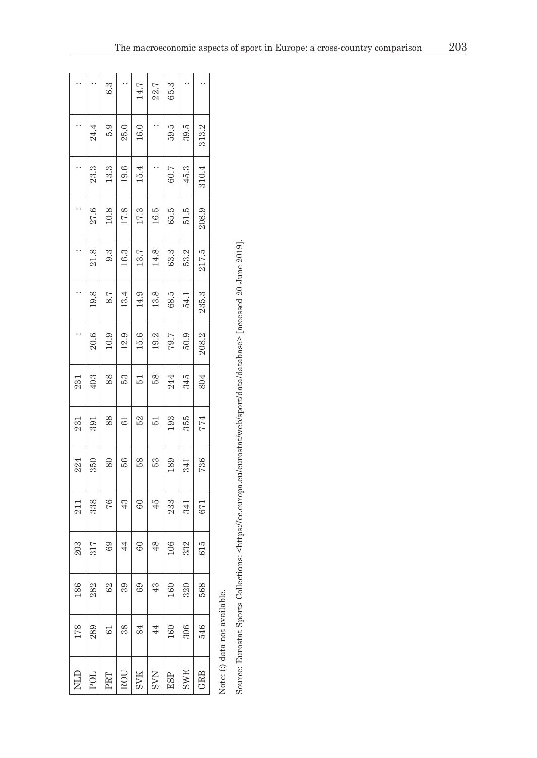|             |                 | 6.3  |                 | $14.7$     | 22.7            | 65.3 |            |            |
|-------------|-----------------|------|-----------------|------------|-----------------|------|------------|------------|
|             | 24.4            | 5.9  | 25.0            | 16.0       |                 | 59.5 | 39.5       | 313.2      |
|             | 23.3            | 13.3 | 19.6            | 15.4       |                 | 60.7 | 45.3       | 310.4      |
|             | 27.6            | 10.8 | 17.8            | 17.3       | $16.5$          | 65.5 | 51.5       | 208.9      |
|             | 21.8            | 9.3  | 16.3            | 13.7       | 14.8            | 63.3 | 53.2       | 217.5      |
|             | 19.8            | 8.7  | 13.4            | 14.9       | 13.8            | 68.5 | 54.1       | 235.3      |
|             | 20.6            | 10.9 | 12.9            | 15.6       | 19.2            | 79.7 | 50.9       | 208.2      |
| 231         | 403             | 88   | 53              | 51         | 58              | 244  | 345        | 804        |
| 231         | 391             | 88   | $\overline{61}$ | 52         | 51              | 193  | 355        | 774        |
| 224         | 350             | 80   | 56              | 58         | 53              | 189  | 341        | 736        |
| 211         | 338             | 76   | $\frac{3}{4}$   | 8          | 45              | 233  | 341        | 671        |
| 203         | 317             | 69   | $\overline{4}$  | 60         | 48              | 106  | 332        | 615        |
| 186         | 282             | 62   | 39              | 69         | 43              | 160  | 320        | 568        |
| 178         | 289             | 61   | 38              | 84         | $\overline{44}$ | 160  | 306        | 546        |
| <b>GTIN</b> | PO <sub>L</sub> | PRT  | ROU             | <b>SVK</b> | <b>SVN</b>      | ESP  | <b>SWE</b> | <b>GRB</b> |

Note: (:) data not available. Note: (:) data not available.

Source: Eurostat Sports Collections: <https://ec.europa.eu/eurostat/web/sport/data/database> [accessed 20 June 2019]. Source: Eurostat Sports Collections: <https://ec.europa.eu/eurostat/web/sport/data/database> [accessed 20 June 2019].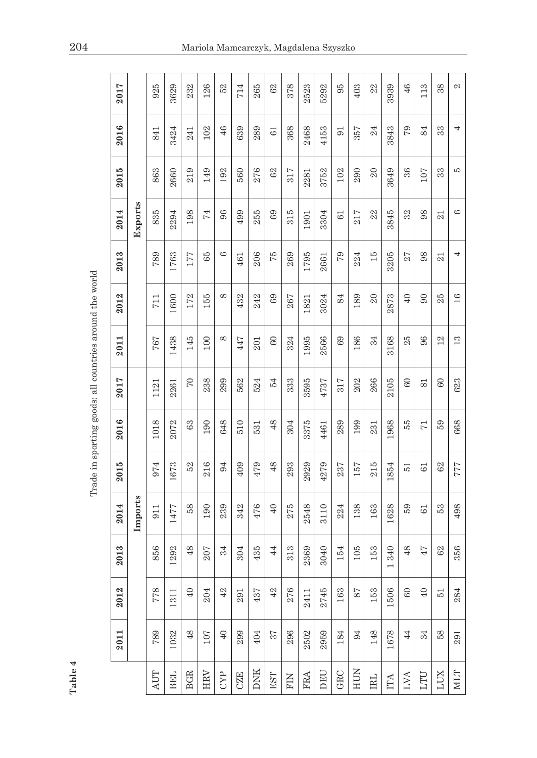| Table 4     |         |                 |                       |         |                                                         |                |                |              |                 |                 |                |      |                |      |
|-------------|---------|-----------------|-----------------------|---------|---------------------------------------------------------|----------------|----------------|--------------|-----------------|-----------------|----------------|------|----------------|------|
|             |         |                 |                       |         | Trade in sporting goods: all countries around the world |                |                |              |                 |                 |                |      |                |      |
|             | 2011    | 2012            | 2013                  | 2014    | 2015                                                    | 2016           | 2017           | 2011         | 2012            | 2013            | 2014           | 2015 | 2016           | 2017 |
|             |         |                 |                       | Imports |                                                         |                |                |              |                 |                 | Exports        |      |                |      |
| AUT         | 789     | 778             | 856                   | 911     | 974                                                     | 1018           | 1121           | 767          | 711             | 789             | 835            | 863  | 841            | 925  |
| <b>BEL</b>  | 1032    | 1311            | 1292                  | 1477    | 1673                                                    | 2072           | 2261           | 1438         | 1600            | 1763            | 2294           | 2660 | 3424           | 3629 |
| <b>BGR</b>  | 48      | $\overline{40}$ | 48                    | 58      | 52                                                      | 63             | $\overline{C}$ | 145          | 172             | 177             | 198            | 219  | 241            | 232  |
| HRV         | 107     | 204             | 207                   | 190     | 216                                                     | 190            | 238            | 100          | 155             | 65              | $\overline{7}$ | 149  | 102            | 126  |
| CYP         | $40$    | $42\,$          | 34                    | 239     | 94                                                      | 648            | 299            | ${}^{\circ}$ | ${}^{\circ}$    | G               | 96             | 192  | 46             | 52   |
| <b>CZE</b>  | 299     | 291             | 304                   | 342     | 409                                                     | 510            | 562            | 447          | 432             | 461             | 499            | 560  | 639            | 714  |
| <b>DNK</b>  | 404     | 437             | 435                   | 476     | 479                                                     | 531            | 524            | 201          | 242             | 206             | 255            | 276  | 289            | 265  |
| EST         | 57      | $42\,$          | 44                    | 40      | 48                                                      | 48             | 54             | $60\,$       | 69              | 57              | 69             | 62   | 61             | 62   |
| FIN         | 296     | 276             | 313                   | 275     | 293                                                     | 304            | 333            | 324          | 267             | 269             | 315            | 317  | 368            | 378  |
| <b>FRA</b>  | 2502    | 2411            | 2369                  | 2548    | 2929                                                    | 3375           | 3595           | 1995         | 1821            | 1795            | 1901           | 2281 | 2468           | 2523 |
| DEU         | 2959    | 2745            | 3040                  | 3110    | 4279                                                    | 4461           | 4737           | 2566         | 3024            | 2661            | 3304           | 3752 | 4153           | 5292 |
| GRC         | 184     | 163             | 154                   | 224     | 237                                                     | 289            | 317            | 69           | 84              | 57              | 61             | 102  | $\overline{5}$ | 95   |
| HUN         | 94      | 78              | 105                   | 138     | 157                                                     | 199            | 202            | 186          | 189             | 224             | 217            | 290  | 357            | 403  |
| IRL         | 148     | 153             | 153                   | 163     | 215                                                     | 231            | 266            | 34           | $\overline{20}$ | $\overline{15}$ | 22             | 20   | 24             | 22   |
| ITA         | 1678    | 1506            | 340<br>$\overline{ }$ | 1628    | 1854                                                    | 1968           | 2105           | 3168         | 2873            | 3205            | 3845           | 3649 | 3843           | 3939 |
| LVA         | 44      | $60\,$          | 48                    | 59      | $\overline{5}$                                          | 55             | $60\,$         | 25           | $\overline{40}$ | 27              | 32             | 36   | 79             | $46$ |
| LTU         | 34      | $\Theta$        | 47                    | 61      | 61                                                      | $\overline{r}$ | 81             | 96           | $\infty$        | 98              | 98             | 107  | 84             | 113  |
| LUX         | 58      | $\overline{5}$  | 62                    | 53      | 62                                                      | 59             | $60\,$         | $^{12}$      | 25              | 21              | 21             | 33   | 33             | 38   |
| <b>NILT</b> | $\!291$ | 284             | 356                   | 498     | $777$                                                   | 668            | 623            | 13           | 16              | 4               | G              | J.   | 4              | 2    |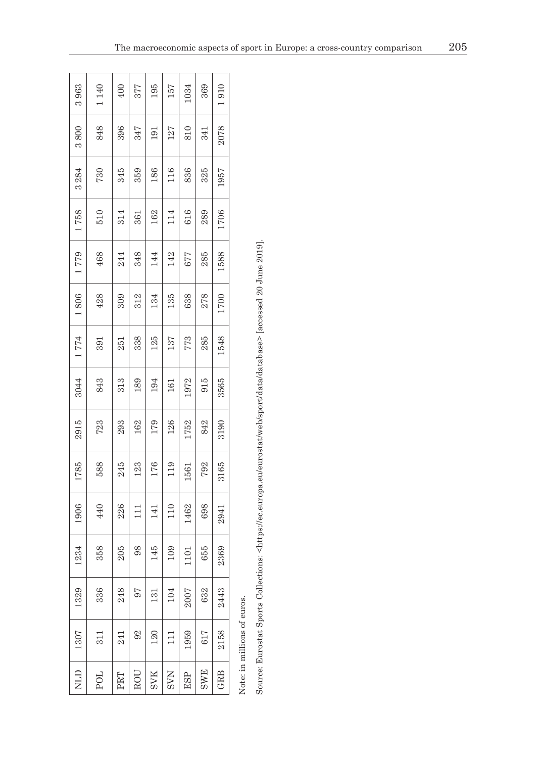| 3963        | 1140            | 400 | 377   | 195        | 157        | 1034 | 369        | 1910 |
|-------------|-----------------|-----|-------|------------|------------|------|------------|------|
| 3800        | 848             | 396 | 347   | 191        | 127        | 810  | 341        | 2078 |
| 3284        | 730             | 345 | 359   | 186        | 116        | 836  | 325        | 1957 |
| 1758        | $\frac{510}{5}$ | 314 | 361   | 162        | 114        | 616  | 289        | 1706 |
| 1779        | 468             | 244 | 348   | 144        | 142        | 677  | 285        | 1588 |
| $1\,806$    | 428             | 309 | 312   | 134        | 135        | 638  | 278        | 1700 |
| 1774        | 391             | 251 | 338   | 125        | 137        | 773  | 285        | 1548 |
| 3044        | 843             | 313 | 189   | 194        | 161        | 1972 | 915        | 3565 |
| 2915        | 723             | 293 | 162   | 179        | 126        | 1752 | 842        | 3190 |
| 1785        | 588             | 245 | 123   | 176        | 119        | 1561 | 792        | 3165 |
| 1906        | 440             | 226 | $\Xi$ | 141        | 110        | 1462 | 698        | 2941 |
| 1234        | 358             | 205 | 98    | 145        | 109        | 1101 | 655        | 2369 |
| 1329        | 336             | 248 | 56    | 131        | 104        | 2007 | 632        | 2443 |
| 1307        | $\overline{51}$ | 241 | 92    | 120        | $\Xi$      | 1959 | 617        | 2158 |
| <b>QTIN</b> | <b>POL</b>      | PRT | ROU   | <b>SVK</b> | <b>NAS</b> | ESP  | <b>SWE</b> | GRB  |

Note: in millions of euros. Note: in millions of euros.

Source: Eurostat Sports Collections: <https://ec.europa.eu/eurostat/web/sport/data/database> [accessed 20 June 2019]. Source: Eurostat Sports Collections: <https://ec.europa.eu/eurostat/web/sport/data/database> [accessed 20 June 2019].

5

÷ ÷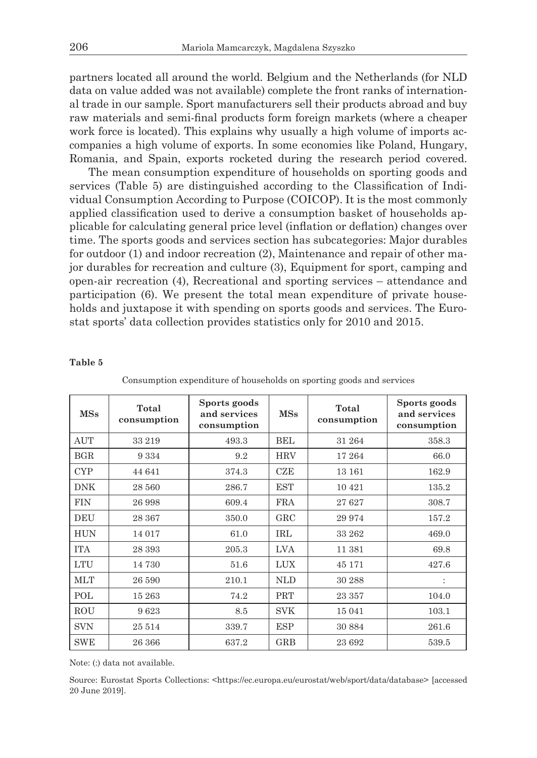partners located all around the world. Belgium and the Netherlands (for NLD data on value added was not available) complete the front ranks of international trade in our sample. Sport manufacturers sell their products abroad and buy raw materials and semi-final products form foreign markets (where a cheaper work force is located). This explains why usually a high volume of imports accompanies a high volume of exports. In some economies like Poland, Hungary, Romania, and Spain, exports rocketed during the research period covered.

The mean consumption expenditure of households on sporting goods and services (Table 5) are distinguished according to the Classification of Individual Consumption According to Purpose (COICOP). It is the most commonly applied classification used to derive a consumption basket of households applicable for calculating general price level (inflation or deflation) changes over time. The sports goods and services section has subcategories: Major durables for outdoor (1) and indoor recreation (2), Maintenance and repair of other major durables for recreation and culture (3), Equipment for sport, camping and open-air recreation (4), Recreational and sporting services – attendance and participation (6). We present the total mean expenditure of private households and juxtapose it with spending on sports goods and services. The Eurostat sports' data collection provides statistics only for 2010 and 2015.

#### **Table 5**

| <b>MSs</b> | Total<br>consumption | Sports goods<br>and services<br>consumption | MSs          | Total<br>consumption | Sports goods<br>and services<br>consumption |
|------------|----------------------|---------------------------------------------|--------------|----------------------|---------------------------------------------|
| <b>AUT</b> | 33 219               | 493.3                                       | <b>BEL</b>   | 31 264               | 358.3                                       |
| BGR        | 9 3 3 4              | 9.2                                         | <b>HRV</b>   | 17 264               | 66.0                                        |
| <b>CYP</b> | 44 641               | 374.3                                       | CZE          | 13 16 1              | 162.9                                       |
| <b>DNK</b> | 28 560               | 286.7                                       | <b>EST</b>   | 10 4 21              | 135.2                                       |
| <b>FIN</b> | 26 998               | 609.4                                       | <b>FRA</b>   | 27627                | 308.7                                       |
| DEU        | 28 367               | 350.0                                       | $_{\rm GRC}$ | 29 974               | 157.2                                       |
| <b>HUN</b> | 14 017               | 61.0                                        | <b>IRL</b>   | 33 262               | 469.0                                       |
| <b>TTA</b> | 28 393               | 205.3                                       | <b>LVA</b>   | 11 381               | 69.8                                        |
| <b>LTU</b> | 14 730               | 51.6                                        | <b>LUX</b>   | 45 171               | 427.6                                       |
| <b>MLT</b> | 26 590               | 210.1                                       | <b>NLD</b>   | 30 288               | $\ddot{\phantom{a}}$                        |
| POL        | 15 263               | 74.2                                        | PRT          | 23 357               | 104.0                                       |
| <b>ROU</b> | 9623                 | 8.5                                         | <b>SVK</b>   | 15 041               | 103.1                                       |
| <b>SVN</b> | 25 514               | 339.7                                       | ESP          | 30 884               | 261.6                                       |
| <b>SWE</b> | 26 366               | 637.2                                       | <b>GRB</b>   | 23 692               | 539.5                                       |

Consumption expenditure of households on sporting goods and services

Note: (:) data not available.

Source: Eurostat Sports Collections: <https://ec.europa.eu/eurostat/web/sport/data/database> [accessed 20 June 2019].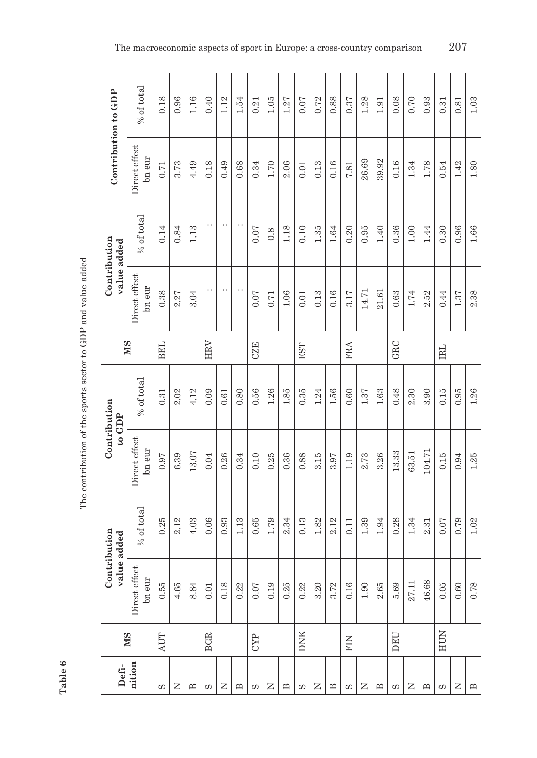|                             | % of total              | 0.18       | 0.96       | 1.16           | 0.40       | 1.12     | 1.54              | 0.21       | 1.05     | 1.27              | 0.07       | 0.72 | 0.88         | $0.37\,$   | 1.28  | 1.91         | 0.08  | 0.70      | 0.93         | 0.31       | 0.81     | 1.03                     |
|-----------------------------|-------------------------|------------|------------|----------------|------------|----------|-------------------|------------|----------|-------------------|------------|------|--------------|------------|-------|--------------|-------|-----------|--------------|------------|----------|--------------------------|
| Contribution to GDP         | Direct effect<br>bn eur | 0.71       | 3.73       | 4.49           | 0.18       | 0.49     | 0.68              | 0.34       | $1.70\,$ | 2.06              | 0.01       | 0.13 | 0.16         | 7.81       | 26.69 | 39.92        | 0.16  | $1.34\,$  | 1.78         | 0.54       | 1.42     | $1.80\,$                 |
| Contribution<br>value added | % of total              | 0.14       | $\rm 0.84$ | 1.13           | . .        | . .      | . .               | $0.07$     | 0.8      | 1.18              | 0.10       | 1.35 | $1.64\,$     | 0.20       | 0.95  | 1.40         | 0.36  | 1.00      | 1.44         | 0.30       | 0.96     | $1.66\,$                 |
|                             | Direct effect<br>bn eur | 0.38       | 2.27       | 3.04           | $\cdot$    | . .      | . .               | 0.07       | 0.71     | $1.06\,$          | 0.01       | 0.13 | 0.16         | 3.17       | 14.71 | 21.61        | 0.63  | 1.74      | 2.52         | 0.44       | $1.37\,$ | 2.38                     |
|                             | <b>NIS</b>              | <b>BEL</b> |            |                | HRV        |          |                   | <b>CZE</b> |          |                   | EST        |      |              | <b>FRA</b> |       |              | GRC   |           |              | <b>IRL</b> |          |                          |
|                             | % of total              | 0.31       | 2.02       | 4.12           | 0.09       | 0.61     | 0.80              | 0.56       | $1.26\,$ | 1.85              | 0.35       | 1.24 | 1.56         | 0.60       | 1.37  | $1.63\,$     | 0.48  | 2.30      | 3.90         | 0.15       | 0.95     | $1.26\,$                 |
| Contribution<br>$to$ GDP    | Direct effect<br>bn eur | $0.97\,$   | 6.39       | 13.07          | 0.04       | $0.26\,$ | $0.34\,$          | 0.10       | 0.25     | 0.36              | 0.88       | 3.15 | 3.97         | 1.19       | 2.73  | 3.26         | 13.33 | 63.51     | 104.71       | 0.15       | $\,0.94$ | $1.25\,$                 |
|                             | % of total              | 0.25       | 2.12       | 4.03           | 0.06       | 0.93     | 1.13              | 0.65       | 1.79     | 2.34              | 0.13       | 1.82 | 2.12         | 0.11       | 1.39  | 1.94         | 0.28  | 1.34      | 2.31         | 0.07       | 0.79     | $1.02\,$                 |
| Contribution<br>value added | Direct effect<br>bn eur | 0.55       | 4.65       | 8.84           | $0.01\,$   | 0.18     | 0.22              | $0.07$     | 0.19     | 0.25              | 0.22       | 3.20 | 3.72         | 0.16       | 1.90  | 2.65         | 5.69  | 27.11     | 46.68        | 0.05       | $0.60\,$ | 0.78                     |
|                             | MS                      | AUT        |            |                | <b>BGR</b> |          |                   | <b>CYP</b> |          |                   | <b>DNK</b> |      |              | FIN        |       |              | DEU   |           |              | HUN        |          |                          |
|                             | Defi-<br>nition         | S          | Z          | $\mathbf{\Xi}$ | Ω,         | z        | $\mathbf{\Omega}$ | S          | Z        | $\mathbf{\Omega}$ | S          | Z    | $\mathbf{u}$ | S          | Z     | $\mathbf{u}$ | S     | $\square$ | $\mathbf{u}$ | S          | Z        | $\mathbf{\underline{m}}$ |

The contribution of the sports sector to GDP and value added The contribution of the sports sector to GDP and value added

**Table 6**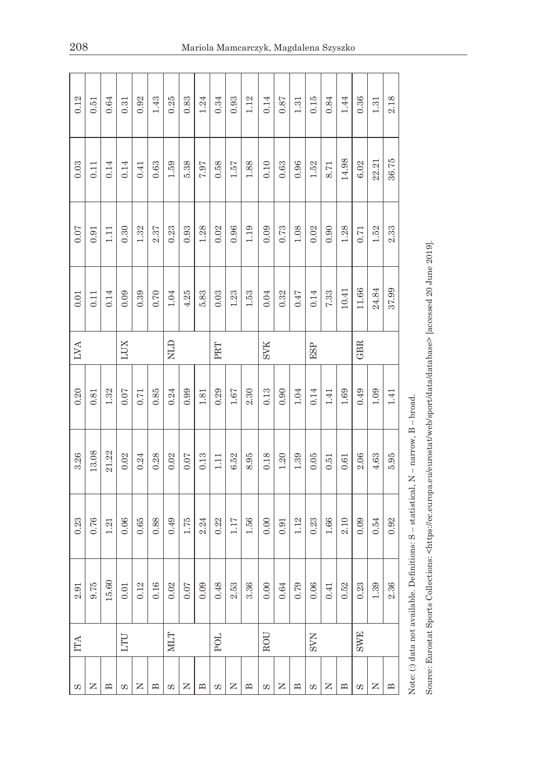| 0.12     | 0.51  | 0.64                     | 0.31     | 0.92     | 1.43                     | 0.25        | 0.83     | $1.24\,$ | 0.34     | 0.93       | 1.12                     | 0.14       | 0.87       | 1.31                     | 0.15     | 0.84       | 1.44           | 0.36       | 1.31       | 2.18                           |  |
|----------|-------|--------------------------|----------|----------|--------------------------|-------------|----------|----------|----------|------------|--------------------------|------------|------------|--------------------------|----------|------------|----------------|------------|------------|--------------------------------|--|
| $0.03\,$ | 0.11  | 0.14                     | 0.14     | 0.41     | 0.63                     | 1.59        | 5.38     | 7.97     | 0.58     | 1.57       | $1.88\,$                 | 0.10       | $0.63\,$   | $0.96\,$                 | $1.52\,$ | 8.71       | 14.98          | $6.02$     | 22.21      | 36.75                          |  |
| $0.07$   | 0.91  | 1.11                     | 0.30     | 1.32     | 2.37                     | 0.23        | 0.93     | 1.28     | 0.02     | 0.96       | 1.19                     | 0.09       | 0.73       | $1.08\,$                 | 0.02     | 0.90       | $1.28\,$       | 0.71       | 1.52       | 2.33                           |  |
| $0.01\,$ | 0.11  | 0.14                     | 0.09     | 0.39     | 0.70                     | $1.04\,$    | 4.25     | 5.83     | 0.03     | $1.23\,$   | $1.53\,$                 | 0.04       | 0.32       | 0.47                     | 0.14     | 7.33       | 10.41          | 11.66      | 24.84      | 37.99                          |  |
| LVA      |       |                          | LUX      |          |                          | <b>CTIN</b> |          |          | PRT      |            |                          | <b>SVK</b> |            |                          | ESP      |            |                | GBR        |            |                                |  |
| 0.20     | 0.81  | $1.32\,$                 | $0.07$   | $0.71\,$ | 0.85                     | 0.24        | 0.99     | 1.81     | 0.29     | $1.67\,$   | 2.30                     | 0.13       | $0.90\,$   | $1.04\,$                 | 0.14     | 1.41       | $1.69\,$       | 0.49       | $1.09\,$   | 1.41                           |  |
| 3.26     | 13.08 | 21.22                    | 0.02     | 0.24     | 0.28                     | 0.02        | $0.07\,$ | 0.13     | 1.11     | $6.52\,$   | 8.95                     | 0.18       | $1.20\,$   | $1.39\,$                 | 0.05     | 0.51       | $0.61\,$       | 2.06       | $4.63$     | 5.95                           |  |
| 0.23     | 0.76  | 1.21                     | 0.06     | 0.65     | 0.88                     | 0.49        | 1.75     | 2.24     | 0.22     | 1.17       | $1.56\,$                 | 0.00       | 0.91       | 1.12                     | 0.23     | $1.66\,$   | 2.10           | 0.09       | 0.54       | 0.92                           |  |
| $2.91\,$ | 9.75  | 15.60                    | $0.01\,$ | $0.12\,$ | $0.16\,$                 | 0.02        | $0.07\,$ | 0.09     | $0.48\,$ | $2.53$     | 3.36                     | $0.00\,$   | $\bf 0.64$ | 0.79                     | $0.06\,$ | 0.41       | $0.52\,$       | $\rm 0.23$ | $1.39\,$   | 2.36                           |  |
| ITA      |       |                          |          | LTU      |                          |             | MLT      |          |          | <b>POL</b> |                          |            | ROU        |                          |          | <b>SVN</b> |                |            | <b>SWE</b> |                                |  |
| S        | z     | $\mathbf{\underline{m}}$ | S        | z        | $\mathbf{\underline{m}}$ | S           | z        | ≏        | S        | z          | $\mathbf{\underline{m}}$ | S          | z          | $\mathbf{\underline{m}}$ | S        | z          | $\mathbf{\Xi}$ | C)         | z          | $\mathbf{\underline{\square}}$ |  |

Note: (:) data not available. Definitions:  $S$  – statistical,  $N$  – narrow,  $B$  – broad. Note: (:) data not available. Definitions: S – statistical, N – narrow, B – broad.

Source: Eurostat Sports Collections: <https://ec.europa.eu/eurostat/web/sport/data/database> [accessed 20 June 2019]. Source: Eurostat Sports Collections: <https://ec.europa.eu/eurostat/web/sport/data/database> [accessed 20 June 2019].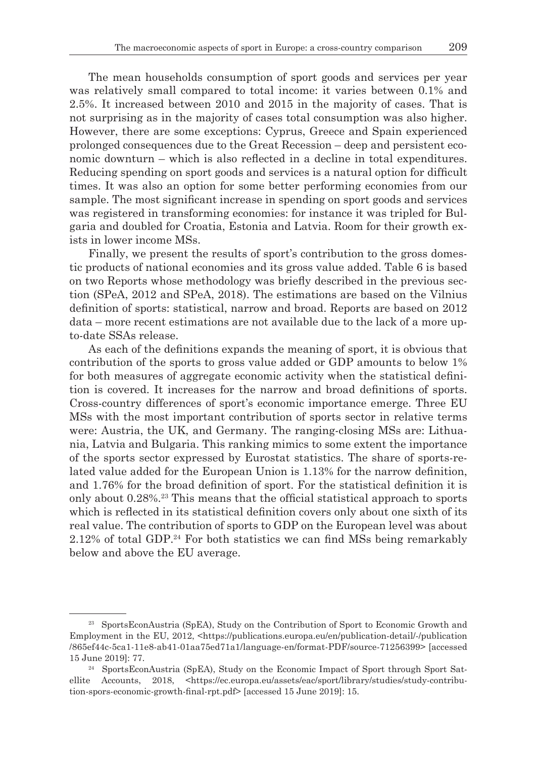The mean households consumption of sport goods and services per year was relatively small compared to total income: it varies between 0.1% and 2.5%. It increased between 2010 and 2015 in the majority of cases. That is not surprising as in the majority of cases total consumption was also higher. However, there are some exceptions: Cyprus, Greece and Spain experienced prolonged consequences due to the Great Recession – deep and persistent economic downturn – which is also reflected in a decline in total expenditures. Reducing spending on sport goods and services is a natural option for difficult times. It was also an option for some better performing economies from our sample. The most significant increase in spending on sport goods and services was registered in transforming economies: for instance it was tripled for Bulgaria and doubled for Croatia, Estonia and Latvia. Room for their growth exists in lower income MSs.

Finally, we present the results of sport's contribution to the gross domestic products of national economies and its gross value added. Table 6 is based on two Reports whose methodology was briefly described in the previous section (SPeA, 2012 and SPeA, 2018). The estimations are based on the Vilnius definition of sports: statistical, narrow and broad. Reports are based on 2012 data – more recent estimations are not available due to the lack of a more upto-date SSAs release.

As each of the definitions expands the meaning of sport, it is obvious that contribution of the sports to gross value added or GDP amounts to below 1% for both measures of aggregate economic activity when the statistical definition is covered. It increases for the narrow and broad definitions of sports. Cross-country differences of sport's economic importance emerge. Three EU MSs with the most important contribution of sports sector in relative terms were: Austria, the UK, and Germany. The ranging-closing MSs are: Lithuania, Latvia and Bulgaria. This ranking mimics to some extent the importance of the sports sector expressed by Eurostat statistics. The share of sports-related value added for the European Union is 1.13% for the narrow definition, and 1.76% for the broad definition of sport. For the statistical definition it is only about 0.28%.23 This means that the official statistical approach to sports which is reflected in its statistical definition covers only about one sixth of its real value. The contribution of sports to GDP on the European level was about  $2.12\%$  of total GDP.<sup>24</sup> For both statistics we can find MSs being remarkably below and above the EU average.

<sup>&</sup>lt;sup>23</sup> SportsEconAustria (SpEA), Study on the Contribution of Sport to Economic Growth and Employment in the EU, 2012, <https://publications.europa.eu/en/publication-detail/-/publication /865ef44c-5ca1-11e8-ab41-01aa75ed71a1/language-en/format-PDF/source-71256399> [accessed 15 June 2019]: 77.

<sup>&</sup>lt;sup>24</sup> SportsEconAustria (SpEA), Study on the Economic Impact of Sport through Sport Satellite Accounts, 2018, <https://ec.europa.eu/assets/eac/sport/library/studies/study-contribution-spors-economic-growth-final-rpt.pdf> [accessed 15 June 2019]: 15.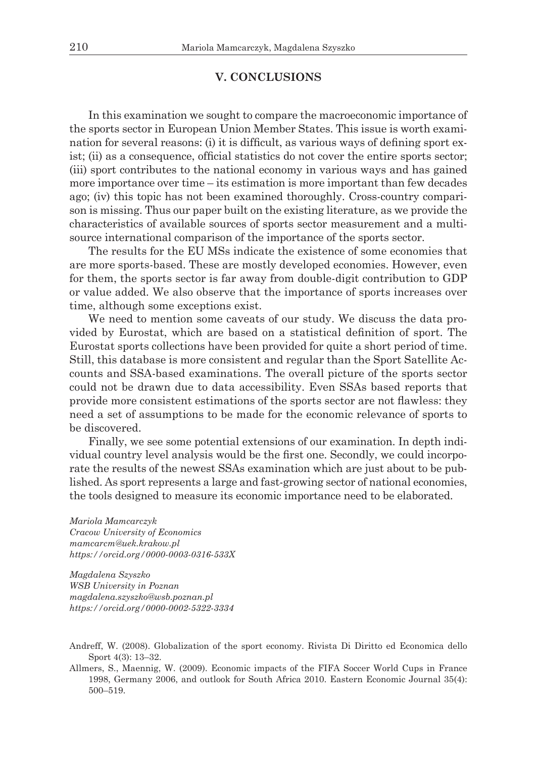### **V. CONCLUSIONS**

In this examination we sought to compare the macroeconomic importance of the sports sector in European Union Member States. This issue is worth examination for several reasons: (i) it is difficult, as various ways of defining sport exist; (ii) as a consequence, official statistics do not cover the entire sports sector; (iii) sport contributes to the national economy in various ways and has gained more importance over time – its estimation is more important than few decades ago; (iv) this topic has not been examined thoroughly. Cross-country comparison is missing. Thus our paper built on the existing literature, as we provide the characteristics of available sources of sports sector measurement and a multisource international comparison of the importance of the sports sector.

The results for the EU MSs indicate the existence of some economies that are more sports-based. These are mostly developed economies. However, even for them, the sports sector is far away from double-digit contribution to GDP or value added. We also observe that the importance of sports increases over time, although some exceptions exist.

We need to mention some caveats of our study. We discuss the data provided by Eurostat, which are based on a statistical definition of sport. The Eurostat sports collections have been provided for quite a short period of time. Still, this database is more consistent and regular than the Sport Satellite Accounts and SSA-based examinations. The overall picture of the sports sector could not be drawn due to data accessibility. Even SSAs based reports that provide more consistent estimations of the sports sector are not flawless: they need a set of assumptions to be made for the economic relevance of sports to be discovered.

Finally, we see some potential extensions of our examination. In depth individual country level analysis would be the first one. Secondly, we could incorporate the results of the newest SSAs examination which are just about to be published. As sport represents a large and fast-growing sector of national economies, the tools designed to measure its economic importance need to be elaborated.

*Mariola Mamcarczyk Cracow University of Economics mamcarcm@uek.krakow.pl https://orcid.org/0000-0003-0316-533X*

*Magdalena Szyszko WSB University in Poznan magdalena.szyszko@wsb.poznan.pl https://orcid.org/0000-0002-5322-3334*

Allmers, S., Maennig, W. (2009). Economic impacts of the FIFA Soccer World Cups in France 1998, Germany 2006, and outlook for South Africa 2010. Eastern Economic Journal 35(4): 500–519.

Andreff, W. (2008). Globalization of the sport economy. Rivista Di Diritto ed Economica dello Sport 4(3): 13–32.